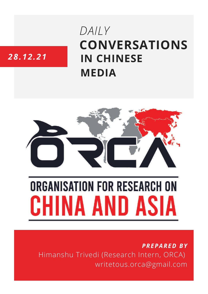## **CONVERSATIONS IN CHINESE MEDIA** *DAILY*

### *28.12.21*



# **ORGANISATION FOR RESEARCH ON** HINA AND ASIA

*PREPARED BY* Himanshu Trivedi (Research Intern, ORCA) writetous.orca@gmail.com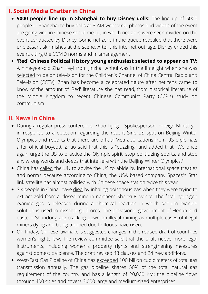#### **I. Social Media Chatter in China**

- **5000 people line up in Shanghai to buy Disney dolls:** The [lin](https://gamingsym.in/at-3-am-over-5000-people-lined-up-to-buy-dolls-official-response-from-disney-for-safety-all-queues-are-over/)e up of 5000 people in Shanghai to buy dolls at 3 AM went viral; photos and videos of the event are going viral in Chinese social media, in which netizens were seen divided on the event conducted by Disney. Some netizens in the queue revealed that there were unpleasant skirmishes at the scene. After this internet outrage, Disney ended this event, citing the COVID norms and mismanagement
- **'Red' Chinese Political History young enthusiast selected to appear on TV:** A nine-year-old Zhan Keyi from Jinzhai, Anhui was in the limelight when she was [selected](https://m.thepaper.cn/baijiahao_16024281) to be on television for the Children's Channel of China Central Radio and Television (CCTV). Zhan has become a celebrated figure after netizens came to know of the amount of 'Red' literature she has read, from historical literature of the Middle Kingdom to recent Chinese Communist Party (CCP's) study on communism.

#### **II. News in China**

- During a regular press conference, Zhao Lijing Spokesperson, Foreign Ministry in response to a question regarding the [recent](http://thepaper.cn/newsDetail_forward_16042246) Sino-US spat on Beijing Winter Olympics and reports that there are official Visa applications from US diplomats after official boycott, Zhao said that this is "puzzling" and added that "We once again urge the US to practice the Olympic spirit, stop politicizing sports, and stop any wrong words and deeds that interfere with the Beijing Winter Olympics."
- China has [called](https://www.theguardian.com/science/2021/dec/28/china-complains-to-un-after-space-station-is-forced-to-move-to-avoid-starlink-satellites) the UN to advise the US to abide by international space treaties and norms because according to China, the USA based company SpaceX's Star link satellite has almost collided with Chinese space station twice this year.
- Six people in China have [died](https://www.sixthtone.com/news/1009322/gas-poisoning-kills-6-at-illegal-shanxi-gold-mine) by inhaling poisonous gas when they were trying to extract gold from a closed mine in northern Shanxi Province. The fatal hydrogen cyanide gas is released during a chemical reaction in which sodium cyanide solution is used to dissolve gold ores. The provisional government of Henan and eastern Shandong are cracking down on illegal mining as multiple cases of illegal miners dying and being trapped due to floods have risen.
- On Friday, Chinese lawmakers [suggested](https://www.sixthtone.com/news/1009304/lawmakers-propose-changes-to-revisions-on-womens-rights-law-) changes in the revised draft of countries women's rights law. The review committee said that the draft needs more legal instruments, including women's property rights and strengthening measures against domestic violence. The draft revised 48 clauses and 24 new additions.
- West-East Gas Pipeline of China has [exceeded](https://www.toutiao.com/a7046537366177055239/?log_from=bec85ee9a1bd3_1640757860273https://www.toutiao.com/a7046537366177055239/?log_from=bec85ee9a1bd3_1640757860273) 100 billion cubic meters of total gas transmission annually. The gas pipeline shares 50% of the total natural gas requirement of the country and has a length of 20,000 KM; the pipeline flows through 400 cities and covers 3,000 large and medium-sized enterprises.